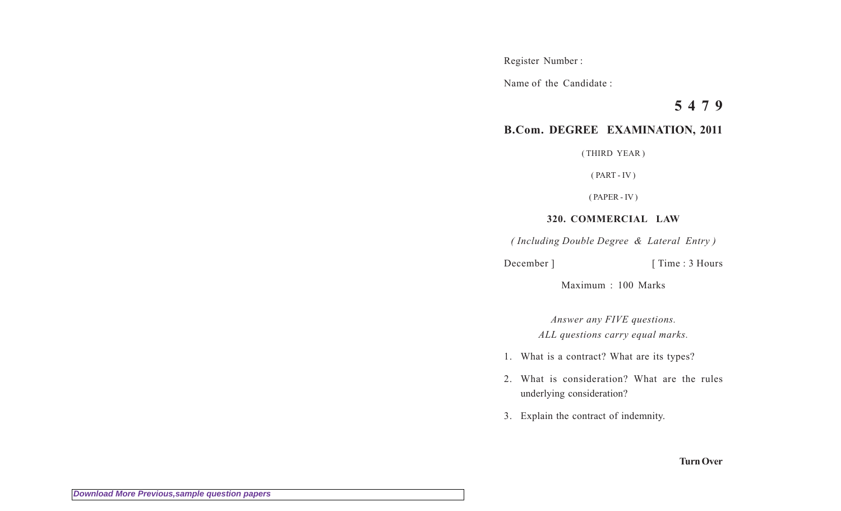Register Number :

Name of the Candidate :

**5 4 7 9**

## **B.Com. DEGREE EXAMINATION, 2011**

( THIRD YEAR )

 $(PART - IV)$ 

( PAPER - IV )

## **320. COMMERCIAL LAW**

*( Including Double Degree & Lateral Entry )*

December ] [ Time : 3 Hours

Maximum : 100 Marks

*Answer any FIVE questions. ALL questions carry equal marks.*

- 1. What is a contract? What are its types?
- 2. What is consideration? What are the rules underlying consideration?
- 3. Explain the contract of indemnity.

**Turn Over**